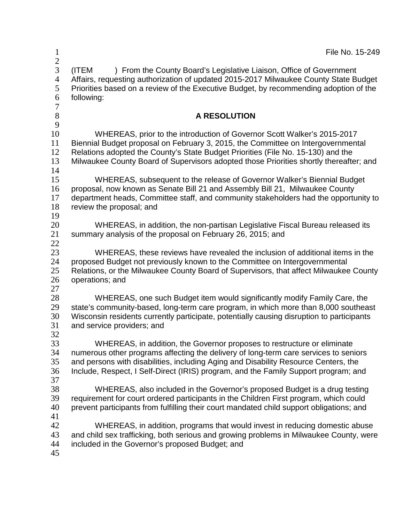| $\mathbf{1}$<br>$\overline{2}$     | File No. 15-249                                                                                                                                                                                                                                                                                                                               |
|------------------------------------|-----------------------------------------------------------------------------------------------------------------------------------------------------------------------------------------------------------------------------------------------------------------------------------------------------------------------------------------------|
| 3<br>$\overline{4}$<br>5<br>6<br>7 | (ITEM<br>) From the County Board's Legislative Liaison, Office of Government<br>Affairs, requesting authorization of updated 2015-2017 Milwaukee County State Budget<br>Priorities based on a review of the Executive Budget, by recommending adoption of the<br>following:                                                                   |
| $8\,$<br>9                         | <b>A RESOLUTION</b>                                                                                                                                                                                                                                                                                                                           |
| 10<br>11<br>12<br>13<br>14         | WHEREAS, prior to the introduction of Governor Scott Walker's 2015-2017<br>Biennial Budget proposal on February 3, 2015, the Committee on Intergovernmental<br>Relations adopted the County's State Budget Priorities (File No. 15-130) and the<br>Milwaukee County Board of Supervisors adopted those Priorities shortly thereafter; and     |
| 15<br>16<br>17<br>18<br>19         | WHEREAS, subsequent to the release of Governor Walker's Biennial Budget<br>proposal, now known as Senate Bill 21 and Assembly Bill 21, Milwaukee County<br>department heads, Committee staff, and community stakeholders had the opportunity to<br>review the proposal; and                                                                   |
| 20<br>21<br>22                     | WHEREAS, in addition, the non-partisan Legislative Fiscal Bureau released its<br>summary analysis of the proposal on February 26, 2015; and                                                                                                                                                                                                   |
| 23<br>24<br>25<br>26<br>27         | WHEREAS, these reviews have revealed the inclusion of additional items in the<br>proposed Budget not previously known to the Committee on Intergovernmental<br>Relations, or the Milwaukee County Board of Supervisors, that affect Milwaukee County<br>operations; and                                                                       |
| 28<br>29<br>30<br>31<br>32         | WHEREAS, one such Budget item would significantly modify Family Care, the<br>state's community-based, long-term care program, in which more than 8,000 southeast<br>Wisconsin residents currently participate, potentially causing disruption to participants<br>and service providers; and                                                   |
| 33<br>34<br>35<br>36               | WHEREAS, in addition, the Governor proposes to restructure or eliminate<br>numerous other programs affecting the delivery of long-term care services to seniors<br>and persons with disabilities, including Aging and Disability Resource Centers, the<br>Include, Respect, I Self-Direct (IRIS) program, and the Family Support program; and |
| 37<br>38<br>39<br>40<br>41         | WHEREAS, also included in the Governor's proposed Budget is a drug testing<br>requirement for court ordered participants in the Children First program, which could<br>prevent participants from fulfilling their court mandated child support obligations; and                                                                               |
| 42<br>43<br>44<br>45               | WHEREAS, in addition, programs that would invest in reducing domestic abuse<br>and child sex trafficking, both serious and growing problems in Milwaukee County, were<br>included in the Governor's proposed Budget; and                                                                                                                      |